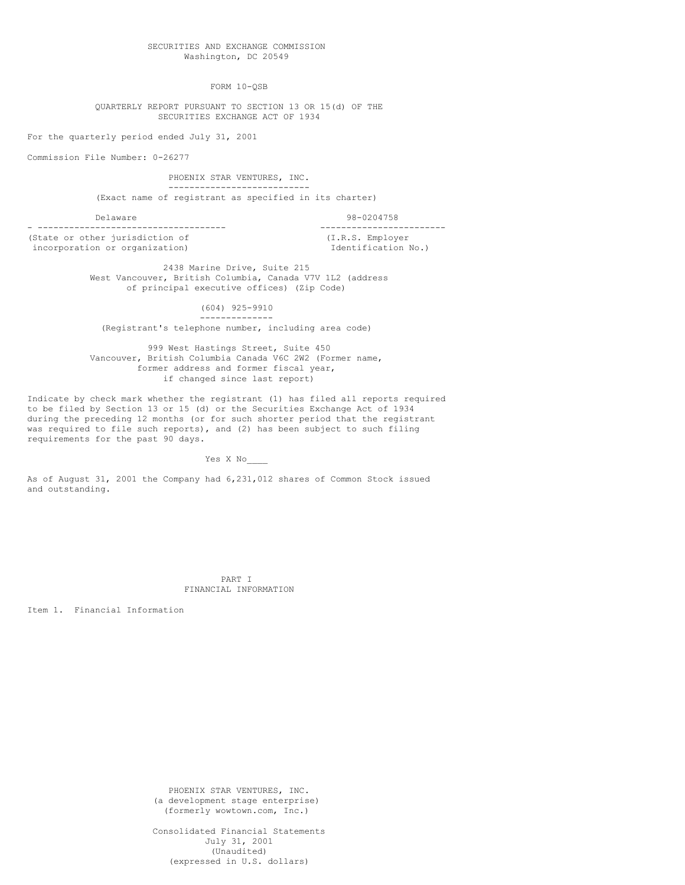FORM 10-QSB

QUARTERLY REPORT PURSUANT TO SECTION 13 OR 15(d) OF THE SECURITIES EXCHANGE ACT OF 1934

For the quarterly period ended July 31, 2001

Commission File Number: 0-26277

PHOENIX STAR VENTURES, INC. --------------------------- (Exact name of registrant as specified in its charter)

Delaware 98-0204758

(State or other jurisdiction of  $(1.R.S.$  Employer<br>incorporation or organization)  $\qquad \qquad$  Identification No.) incorporation or organization)

- ------------------------------------ ------------------------

2438 Marine Drive, Suite 215 West Vancouver, British Columbia, Canada V7V 1L2 (address of principal executive offices) (Zip Code)

> (604) 925-9910 --------------

(Registrant's telephone number, including area code)

999 West Hastings Street, Suite 450 Vancouver, British Columbia Canada V6C 2W2 (Former name, former address and former fiscal year, if changed since last report)

Indicate by check mark whether the registrant (1) has filed all reports required to be filed by Section 13 or 15 (d) or the Securities Exchange Act of 1934 during the preceding 12 months (or for such shorter period that the registrant was required to file such reports), and (2) has been subject to such filing requirements for the past 90 days.

Yes X No\_\_\_\_

As of August 31, 2001 the Company had 6,231,012 shares of Common Stock issued and outstanding.

> PART I FINANCIAL INFORMATION

Item 1. Financial Information

PHOENIX STAR VENTURES, INC. (a development stage enterprise) (formerly wowtown.com, Inc.)

Consolidated Financial Statements July 31, 2001 (Unaudited) (expressed in U.S. dollars)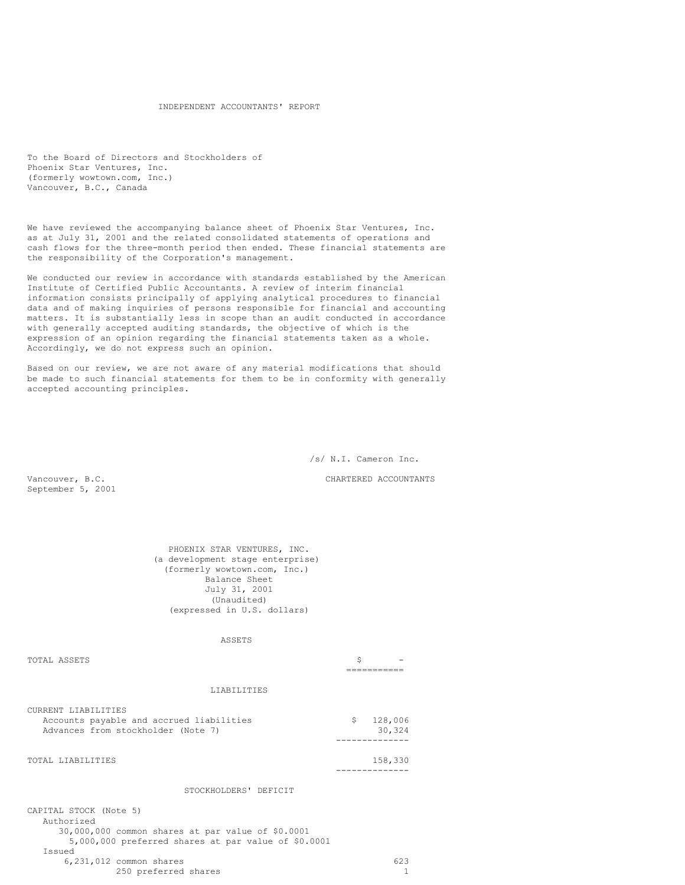### INDEPENDENT ACCOUNTANTS' REPORT

To the Board of Directors and Stockholders of Phoenix Star Ventures, Inc. (formerly wowtown.com, Inc.) Vancouver, B.C., Canada

We have reviewed the accompanying balance sheet of Phoenix Star Ventures, Inc. as at July 31, 2001 and the related consolidated statements of operations and cash flows for the three-month period then ended. These financial statements are the responsibility of the Corporation's management.

We conducted our review in accordance with standards established by the American Institute of Certified Public Accountants. A review of interim financial information consists principally of applying analytical procedures to financial data and of making inquiries of persons responsible for financial and accounting matters. It is substantially less in scope than an audit conducted in accordance with generally accepted auditing standards, the objective of which is the expression of an opinion regarding the financial statements taken as a whole. Accordingly, we do not express such an opinion.

Based on our review, we are not aware of any material modifications that should be made to such financial statements for them to be in conformity with generally accepted accounting principles.

/s/ N.I. Cameron Inc.

Vancouver, B.C. CHARTERED ACCOUNTANTS

September 5, 2001

PHOENIX STAR VENTURES, INC. (a development stage enterprise) (formerly wowtown.com, Inc.) Balance Sheet July 31, 2001 (Unaudited) (expressed in U.S. dollars)

ASSETS

| TOTAL ASSETS                                                                                          | \$                      |
|-------------------------------------------------------------------------------------------------------|-------------------------|
|                                                                                                       |                         |
| LIABILITIES                                                                                           |                         |
| CURRENT LIABILITIES<br>Accounts payable and accrued liabilities<br>Advances from stockholder (Note 7) | \$<br>128,006<br>30,324 |
| TOTAL LIABILITIES                                                                                     | 158,330                 |
| STOCKHOLDERS' DEFICIT                                                                                 |                         |
| CAPITAL STOCK (Note 5)<br>Authorized<br>30,000,000 common shares at par value of \$0.0001             |                         |

5,000,000 preferred shares at par value of \$0.0001 Issued  $6,231,012$  common shares 623<br>250 preferred shares 623 250 preferred shares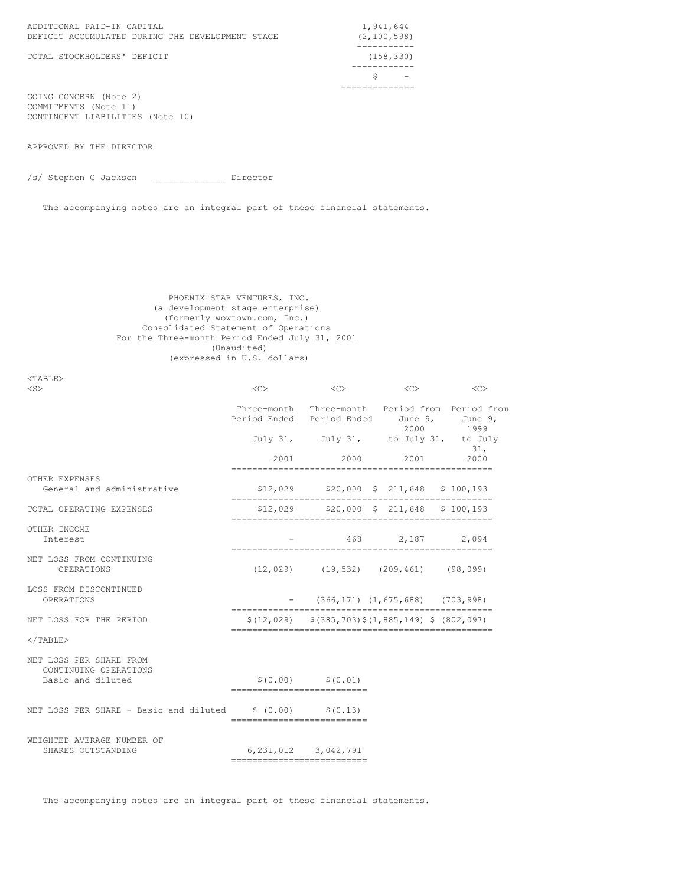| ADDITIONAL PAID-IN CAPITAL<br>DEFICIT ACCUMULATED DURING THE DEVELOPMENT STAGE | 1,941,644<br>(2, 100, 598) |
|--------------------------------------------------------------------------------|----------------------------|
|                                                                                |                            |
| TOTAL STOCKHOLDERS' DEFICIT                                                    | (158, 330)                 |
|                                                                                |                            |
|                                                                                |                            |
|                                                                                |                            |

GOING CONCERN (Note 2) COMMITMENTS (Note 11) CONTINGENT LIABILITIES (Note 10)

APPROVED BY THE DIRECTOR

<TABLE>

/s/ Stephen C Jackson \_\_\_\_\_\_\_\_\_\_\_\_\_\_ Director

The accompanying notes are an integral part of these financial statements.

## PHOENIX STAR VENTURES, INC. (a development stage enterprise) (formerly wowtown.com, Inc.) Consolidated Statement of Operations For the Three-month Period Ended July 31, 2001 (Unaudited) (expressed in U.S. dollars)

| $<$ S $>$                                                             | < <sub></sub>                             | <<                      | $<<$ C $>$                                                  | $<<$ C $>$                                                   |
|-----------------------------------------------------------------------|-------------------------------------------|-------------------------|-------------------------------------------------------------|--------------------------------------------------------------|
|                                                                       | Period Ended Period Ended June 9, June 9, |                         |                                                             | Three-month Three-month Period from Period from<br>2000 1999 |
|                                                                       |                                           |                         | July 31, July 31, to July 31, to July                       | 31,                                                          |
|                                                                       |                                           |                         | 2001 2000 2001                                              | 2000                                                         |
| OTHER EXPENSES<br>General and administrative                          |                                           |                         | $$12,029$ $$20,000$ $$211,648$ $$100,193$<br>-------------  |                                                              |
| TOTAL OPERATING EXPENSES                                              |                                           |                         | $$12,029$ $$20,000$ $$211,648$ $$100,193$                   |                                                              |
| OTHER INCOME<br>Interest                                              |                                           |                         | 468 2,187 2,094                                             |                                                              |
| NET LOSS FROM CONTINUING<br>OPERATIONS                                |                                           |                         | $(12, 029)$ $(19, 532)$ $(209, 461)$ $(98, 099)$            |                                                              |
| LOSS FROM DISCONTINUED<br>OPERATIONS                                  |                                           |                         | $-$ (366, 171) (1, 675, 688) (703, 998)                     |                                                              |
| NET LOSS FOR THE PERIOD                                               |                                           |                         | $$(12, 029)$ $$(385, 703)$ $$(1, 885, 149)$ \$ $(802, 097)$ |                                                              |
| $<$ /TABLE>                                                           |                                           |                         |                                                             |                                                              |
| NET LOSS PER SHARE FROM<br>CONTINUING OPERATIONS<br>Basic and diluted | ---------------------------               | $$(0.00)$ $$(0.01)$     |                                                             |                                                              |
| NET LOSS PER SHARE - Basic and diluted $$ (0.00)$ $$ (0.13)$          | ============================              |                         |                                                             |                                                              |
| WEIGHTED AVERAGE NUMBER OF<br>SHARES OUTSTANDING                      | ----------------------------              | 6, 231, 012 3, 042, 791 |                                                             |                                                              |

The accompanying notes are an integral part of these financial statements.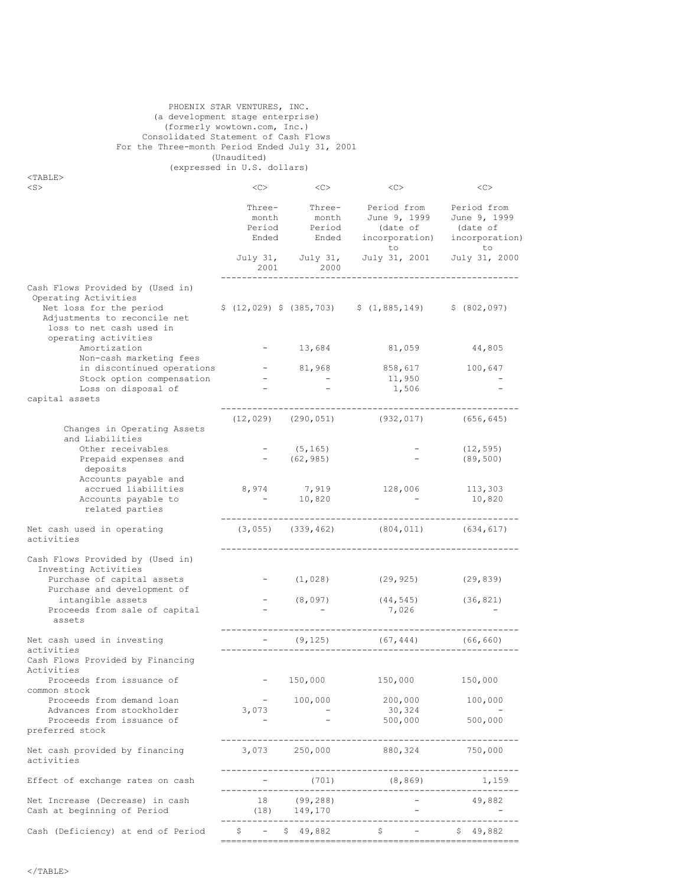## PHOENIX STAR VENTURES, INC. (a development stage enterprise) (formerly wowtown.com, Inc.) Consolidated Statement of Cash Flows For the Three-month Period Ended July 31, 2001 (Unaudited) (expressed in U.S. dollars)

 $<sub>TABLE</sub>$ </sub>

| $<$ S $>$                                                                                                                                                                                                               | < <sub></sub>            | <<                              | <<                                                    | <<                                                                       |
|-------------------------------------------------------------------------------------------------------------------------------------------------------------------------------------------------------------------------|--------------------------|---------------------------------|-------------------------------------------------------|--------------------------------------------------------------------------|
|                                                                                                                                                                                                                         | month<br>Ended           | month<br>Period Period<br>Ended | Three- Three- Period from<br>June 9, 1999<br>(date of | Period from<br>June 9, 1999<br>(date of<br>incorporation) incorporation) |
|                                                                                                                                                                                                                         | 2001                     | July 31, July 31,<br>2000       | to<br>July 31, 2001                                   | to<br>July 31, 2000                                                      |
| Cash Flows Provided by (Used in)<br>Operating Activities<br>Net loss for the period $\frac{12,029}{5,12,029}$ (385,703) $\frac{1,885,149}{5,149}$ (802,097)<br>Adjustments to reconcile net<br>loss to net cash used in |                          |                                 |                                                       |                                                                          |
| operating activities<br>Amortization<br>Non-cash marketing fees                                                                                                                                                         |                          | $-13,684$                       | 81,059                                                | 44,805                                                                   |
| in discontinued operations<br>Stock option compensation                                                                                                                                                                 |                          | 81,968                          | 858,617<br>11,950                                     | 100,647                                                                  |
| Loss on disposal of<br>capital assets                                                                                                                                                                                   |                          |                                 | 1,506                                                 |                                                                          |
| Changes in Operating Assets<br>and Liabilities                                                                                                                                                                          |                          |                                 | $(12, 029)$ $(290, 051)$ $(932, 017)$ $(656, 645)$    |                                                                          |
| Other receivables<br>Prepaid expenses and<br>deposits                                                                                                                                                                   |                          | (5, 165)<br>(62, 985)           | $\sim 100$                                            | (12, 595)<br>(89, 500)                                                   |
| Accounts payable and<br>accrued liabilities<br>Accounts payable to<br>related parties                                                                                                                                   | $\alpha_{\rm{max}}=0.01$ | 8,974 7,919<br>10,820           | 128,006 113,303                                       | 10,820                                                                   |
| Net cash used in operating<br>activities                                                                                                                                                                                |                          | $(3, 055)$ $(339, 462)$         | $(804, 011)$ $(634, 617)$                             |                                                                          |
| Cash Flows Provided by (Used in)<br>Investing Activities<br>Purchase of capital assets                                                                                                                                  |                          | (1, 028)                        | (29, 925)                                             | (29, 839)                                                                |
| Purchase and development of<br>intangible assets<br>Proceeds from sale of capital<br>assets                                                                                                                             |                          | (8,097)                         | (44, 545)<br>7,026                                    | (36, 821)                                                                |
| Net cash used in investing<br>activities                                                                                                                                                                                |                          | (9, 125)                        | (67, 444)                                             | (66, 660)                                                                |
| Cash Flows Provided by Financing<br>Activities<br>Proceeds from issuance of                                                                                                                                             |                          |                                 |                                                       | 150,000                                                                  |
| common stock<br>Proceeds from demand loan                                                                                                                                                                               | $\sim$ $ -$              | 150,000<br>100,000              | 150,000<br>200,000                                    | 100,000                                                                  |
| Advances from stockholder<br>Proceeds from issuance of<br>preferred stock                                                                                                                                               | 3,073                    |                                 | 30,324<br>500,000                                     | 500,000                                                                  |
| Net cash provided by financing<br>activities                                                                                                                                                                            | 3,073                    | 250,000                         | 880,324                                               | 750,000                                                                  |
| Effect of exchange rates on cash                                                                                                                                                                                        |                          | (701)                           | (8, 869)<br>-------------                             | 1,159                                                                    |
| Net Increase (Decrease) in cash<br>Cash at beginning of Period                                                                                                                                                          | 18<br>(18)               | (99, 288)<br>149,170            |                                                       | 49,882                                                                   |
| Cash (Deficiency) at end of Period                                                                                                                                                                                      |                          | $$ - $ 49,882$                  | \$                                                    | S.<br>49,882                                                             |
|                                                                                                                                                                                                                         |                          |                                 |                                                       |                                                                          |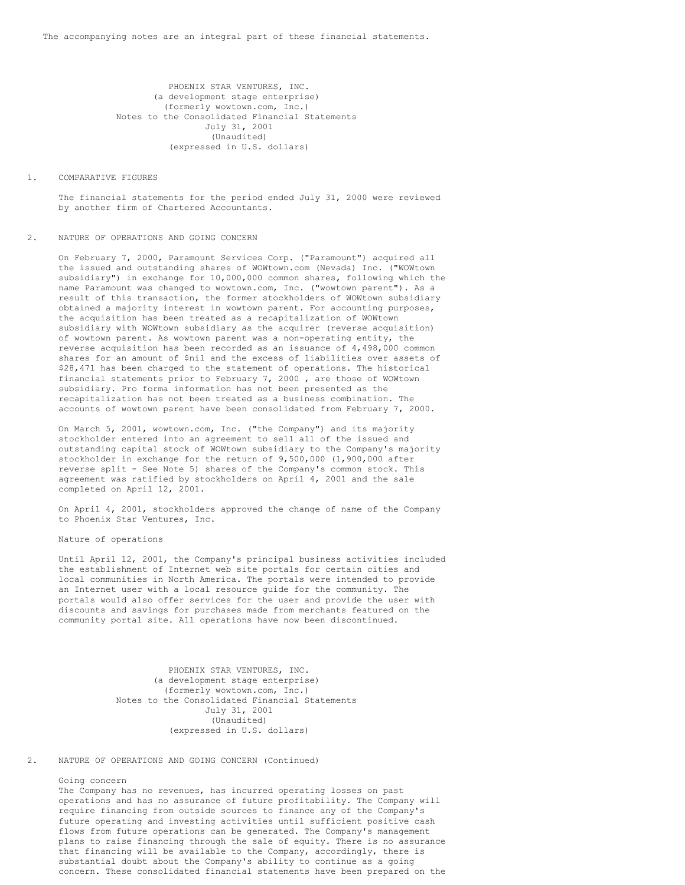PHOENIX STAR VENTURES, INC. (a development stage enterprise) (formerly wowtown.com, Inc.) Notes to the Consolidated Financial Statements July 31, 2001 (Unaudited) (expressed in U.S. dollars)

### 1. COMPARATIVE FIGURES

The financial statements for the period ended July 31, 2000 were reviewed by another firm of Chartered Accountants.

#### 2. NATURE OF OPERATIONS AND GOING CONCERN

On February 7, 2000, Paramount Services Corp. ("Paramount") acquired all the issued and outstanding shares of WOWtown.com (Nevada) Inc. ("WOWtown subsidiary") in exchange for 10,000,000 common shares, following which the name Paramount was changed to wowtown.com, Inc. ("wowtown parent"). As a result of this transaction, the former stockholders of WOWtown subsidiary obtained a majority interest in wowtown parent. For accounting purposes, the acquisition has been treated as a recapitalization of WOWtown subsidiary with WOWtown subsidiary as the acquirer (reverse acquisition) of wowtown parent. As wowtown parent was a non-operating entity, the reverse acquisition has been recorded as an issuance of 4,498,000 common shares for an amount of \$nil and the excess of liabilities over assets of \$28,471 has been charged to the statement of operations. The historical financial statements prior to February 7, 2000 , are those of WOWtown subsidiary. Pro forma information has not been presented as the recapitalization has not been treated as a business combination. The accounts of wowtown parent have been consolidated from February 7, 2000.

On March 5, 2001, wowtown.com, Inc. ("the Company") and its majority stockholder entered into an agreement to sell all of the issued and outstanding capital stock of WOWtown subsidiary to the Company's majority stockholder in exchange for the return of 9,500,000 (1,900,000 after reverse split - See Note 5) shares of the Company's common stock. This agreement was ratified by stockholders on April 4, 2001 and the sale completed on April 12, 2001.

On April 4, 2001, stockholders approved the change of name of the Company to Phoenix Star Ventures, Inc.

## Nature of operations

Until April 12, 2001, the Company's principal business activities included the establishment of Internet web site portals for certain cities and local communities in North America. The portals were intended to provide an Internet user with a local resource guide for the community. The portals would also offer services for the user and provide the user with discounts and savings for purchases made from merchants featured on the community portal site. All operations have now been discontinued.

> PHOENIX STAR VENTURES, INC. (a development stage enterprise) (formerly wowtown.com, Inc.) Notes to the Consolidated Financial Statements July 31, 2001 (Unaudited) (expressed in U.S. dollars)

## 2. NATURE OF OPERATIONS AND GOING CONCERN (Continued)

## Going concern

The Company has no revenues, has incurred operating losses on past operations and has no assurance of future profitability. The Company will require financing from outside sources to finance any of the Company's future operating and investing activities until sufficient positive cash flows from future operations can be generated. The Company's management plans to raise financing through the sale of equity. There is no assurance that financing will be available to the Company, accordingly, there is substantial doubt about the Company's ability to continue as a going concern. These consolidated financial statements have been prepared on the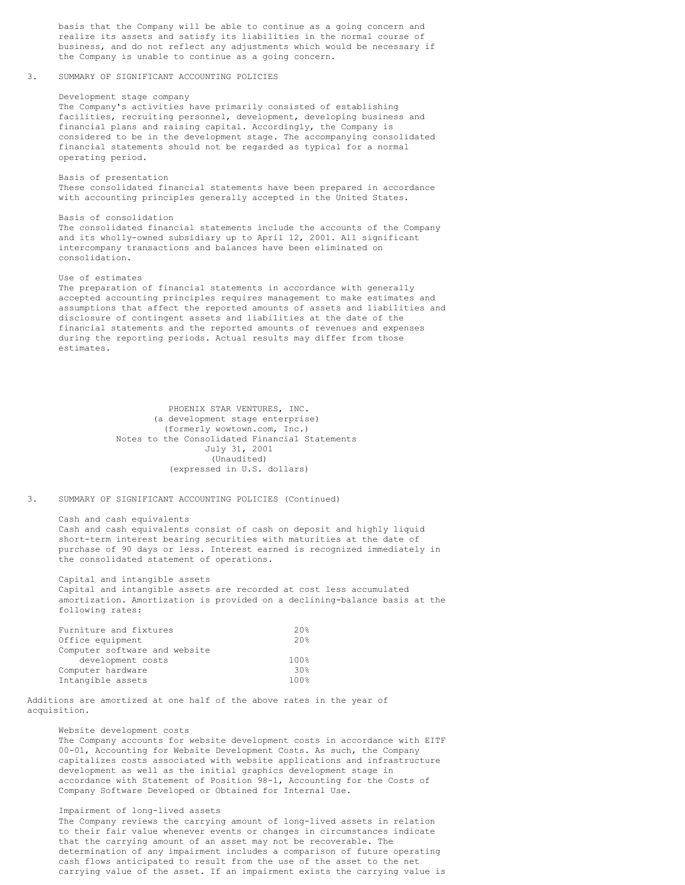basis that the Company will be able to continue as a going concern and realize its assets and satisfy its liabilities in the normal course of business, and do not reflect any adjustments which would be necessary if the Company is unable to continue as a going concern.

### 3. SUMMARY OF SIGNIFICANT ACCOUNTING POLICIES

### Development stage company

The Company's activities have primarily consisted of establishing facilities, recruiting personnel, development, developing business and financial plans and raising capital. Accordingly, the Company is considered to be in the development stage. The accompanying consolidated financial statements should not be regarded as typical for a normal operating period.

Basis of presentation These consolidated financial statements have been prepared in accordance with accounting principles generally accepted in the United States.

#### Basis of consolidation

The consolidated financial statements include the accounts of the Company and its wholly-owned subsidiary up to April 12, 2001. All significant intercompany transactions and balances have been eliminated on consolidation.

#### Use of estimates

The preparation of financial statements in accordance with generally accepted accounting principles requires management to make estimates and assumptions that affect the reported amounts of assets and liabilities and disclosure of contingent assets and liabilities at the date of the financial statements and the reported amounts of revenues and expenses during the reporting periods. Actual results may differ from those estimates.

> PHOENIX STAR VENTURES, INC. (a development stage enterprise) (formerly wowtown.com, Inc.) Notes to the Consolidated Financial Statements July 31, 2001 (Unaudited) (expressed in U.S. dollars)

## 3. SUMMARY OF SIGNIFICANT ACCOUNTING POLICIES (Continued)

Cash and cash equivalents Cash and cash equivalents consist of cash on deposit and highly liquid short-term interest bearing securities with maturities at the date of purchase of 90 days or less. Interest earned is recognized immediately in the consolidated statement of operations.

Capital and intangible assets Capital and intangible assets are recorded at cost less accumulated amortization. Amortization is provided on a declining-balance basis at the following rates:

| Furniture and fixtures        | 20 <sup>8</sup>    |
|-------------------------------|--------------------|
| Office equipment              | 20%                |
| Computer software and website |                    |
| development costs             | 100%               |
| Computer hardware             | 30 <sup>g</sup>    |
| Intangible assets             | $100$ <sup>2</sup> |

Additions are amortized at one half of the above rates in the year of acquisition.

## Website development costs

The Company accounts for website development costs in accordance with EITF 00-01, Accounting for Website Development Costs. As such, the Company capitalizes costs associated with website applications and infrastructure development as well as the initial graphics development stage in accordance with Statement of Position 98-1, Accounting for the Costs of Company Software Developed or Obtained for Internal Use.

## Impairment of long-lived assets

The Company reviews the carrying amount of long-lived assets in relation to their fair value whenever events or changes in circumstances indicate that the carrying amount of an asset may not be recoverable. The determination of any impairment includes a comparison of future operating cash flows anticipated to result from the use of the asset to the net carrying value of the asset. If an impairment exists the carrying value is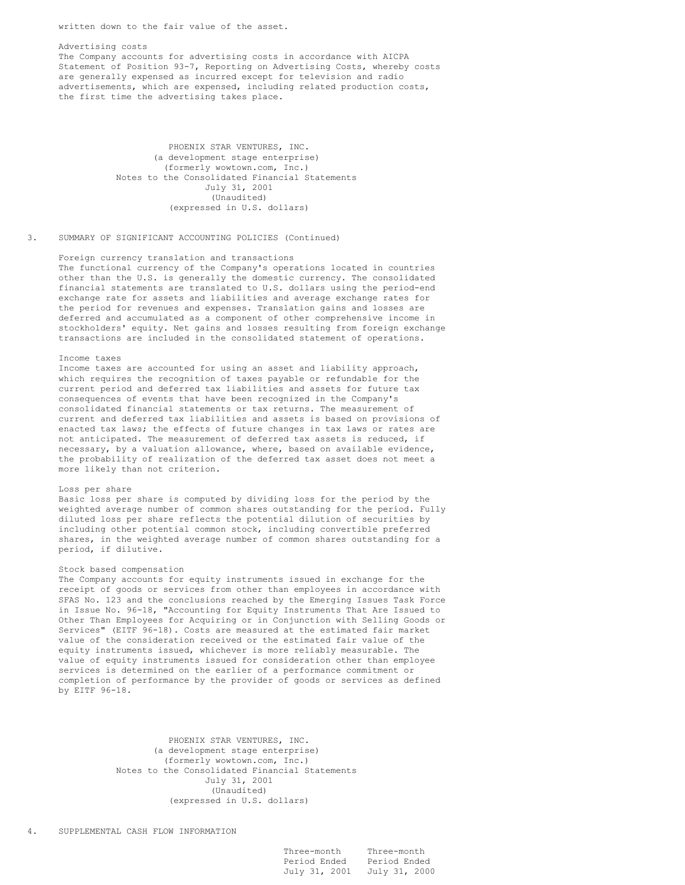written down to the fair value of the asset.

### Advertising costs The Company accounts for advertising costs in accordance with AICPA Statement of Position 93-7, Reporting on Advertising Costs, whereby costs are generally expensed as incurred except for television and radio advertisements, which are expensed, including related production costs, the first time the advertising takes place.

PHOENIX STAR VENTURES, INC. (a development stage enterprise) (formerly wowtown.com, Inc.) Notes to the Consolidated Financial Statements July 31, 2001 (Unaudited) (expressed in U.S. dollars)

### 3. SUMMARY OF SIGNIFICANT ACCOUNTING POLICIES (Continued)

Foreign currency translation and transactions The functional currency of the Company's operations located in countries other than the U.S. is generally the domestic currency. The consolidated financial statements are translated to U.S. dollars using the period-end exchange rate for assets and liabilities and average exchange rates for the period for revenues and expenses. Translation gains and losses are deferred and accumulated as a component of other comprehensive income in stockholders' equity. Net gains and losses resulting from foreign exchange transactions are included in the consolidated statement of operations.

#### Income taxes

Income taxes are accounted for using an asset and liability approach, which requires the recognition of taxes payable or refundable for the current period and deferred tax liabilities and assets for future tax consequences of events that have been recognized in the Company's consolidated financial statements or tax returns. The measurement of current and deferred tax liabilities and assets is based on provisions of enacted tax laws; the effects of future changes in tax laws or rates are not anticipated. The measurement of deferred tax assets is reduced, if necessary, by a valuation allowance, where, based on available evidence, the probability of realization of the deferred tax asset does not meet a more likely than not criterion.

#### Loss per share

Basic loss per share is computed by dividing loss for the period by the weighted average number of common shares outstanding for the period. Fully diluted loss per share reflects the potential dilution of securities by including other potential common stock, including convertible preferred shares, in the weighted average number of common shares outstanding for a period, if dilutive.

### Stock based compensation

The Company accounts for equity instruments issued in exchange for the receipt of goods or services from other than employees in accordance with SFAS No. 123 and the conclusions reached by the Emerging Issues Task Force in Issue No. 96-18, "Accounting for Equity Instruments That Are Issued to Other Than Employees for Acquiring or in Conjunction with Selling Goods or Services" (EITF 96-18). Costs are measured at the estimated fair market value of the consideration received or the estimated fair value of the equity instruments issued, whichever is more reliably measurable. The value of equity instruments issued for consideration other than employee services is determined on the earlier of a performance commitment or completion of performance by the provider of goods or services as defined by EITF 96-18.

> PHOENIX STAR VENTURES, INC. (a development stage enterprise) (formerly wowtown.com, Inc.) Notes to the Consolidated Financial Statements July 31, 2001 (Unaudited) (expressed in U.S. dollars)

| Three-month   | Three-month   |
|---------------|---------------|
| Period Ended  | Period Ended  |
| July 31, 2001 | July 31, 2000 |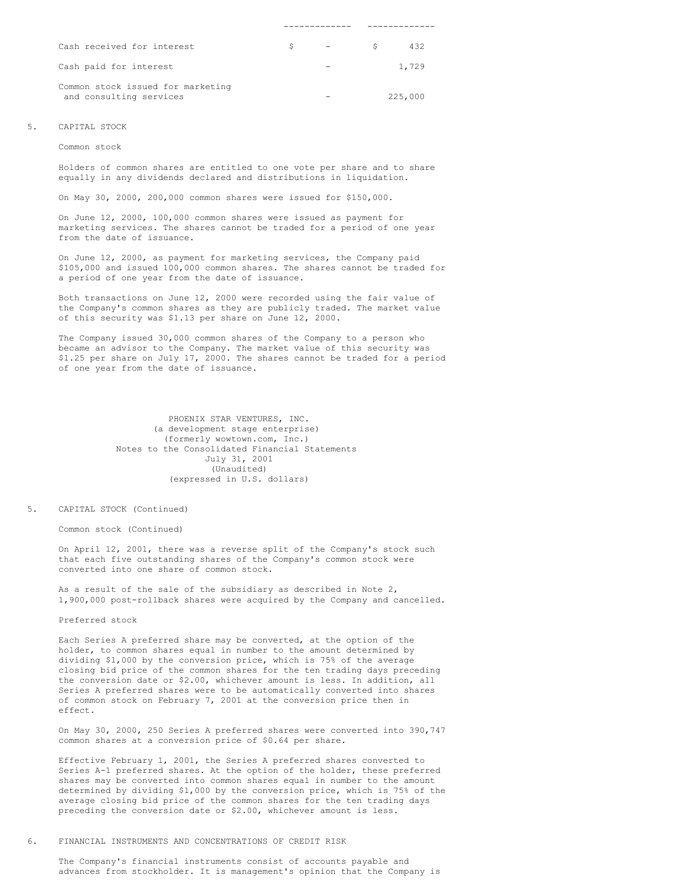| Cash received for interest                                   | S. | and the state of the state of | S. | 432     |
|--------------------------------------------------------------|----|-------------------------------|----|---------|
| Cash paid for interest                                       |    |                               |    | 1,729   |
| Common stock issued for marketing<br>and consulting services |    |                               |    | 225,000 |

#### 5. CAPITAL STOCK

Common stock

Holders of common shares are entitled to one vote per share and to share equally in any dividends declared and distributions in liquidation.

On May 30, 2000, 200,000 common shares were issued for \$150,000.

On June 12, 2000, 100,000 common shares were issued as payment for marketing services. The shares cannot be traded for a period of one year from the date of issuance.

On June 12, 2000, as payment for marketing services, the Company paid \$105,000 and issued 100,000 common shares. The shares cannot be traded for a period of one year from the date of issuance.

Both transactions on June 12, 2000 were recorded using the fair value of the Company's common shares as they are publicly traded. The market value of this security was \$1.13 per share on June 12, 2000.

The Company issued 30,000 common shares of the Company to a person who became an advisor to the Company. The market value of this security was \$1.25 per share on July 17, 2000. The shares cannot be traded for a period of one year from the date of issuance.

> PHOENIX STAR VENTURES, INC. (a development stage enterprise) (formerly wowtown.com, Inc.) Notes to the Consolidated Financial Statements July 31, 2001 (Unaudited) (expressed in U.S. dollars)

#### 5. CAPITAL STOCK (Continued)

Common stock (Continued)

On April 12, 2001, there was a reverse split of the Company's stock such that each five outstanding shares of the Company's common stock were converted into one share of common stock.

As a result of the sale of the subsidiary as described in Note 2, 1,900,000 post-rollback shares were acquired by the Company and cancelled.

Preferred stock

Each Series A preferred share may be converted, at the option of the holder, to common shares equal in number to the amount determined by dividing \$1,000 by the conversion price, which is 75% of the average closing bid price of the common shares for the ten trading days preceding the conversion date or \$2.00, whichever amount is less. In addition, all Series A preferred shares were to be automatically converted into shares of common stock on February 7, 2001 at the conversion price then in effect.

On May 30, 2000, 250 Series A preferred shares were converted into 390,747 common shares at a conversion price of \$0.64 per share.

Effective February 1, 2001, the Series A preferred shares converted to Series A-1 preferred shares. At the option of the holder, these preferred shares may be converted into common shares equal in number to the amount determined by dividing \$1,000 by the conversion price, which is 75% of the average closing bid price of the common shares for the ten trading days preceding the conversion date or \$2.00, whichever amount is less.

## 6. FINANCIAL INSTRUMENTS AND CONCENTRATIONS OF CREDIT RISK

The Company's financial instruments consist of accounts payable and advances from stockholder. It is management's opinion that the Company is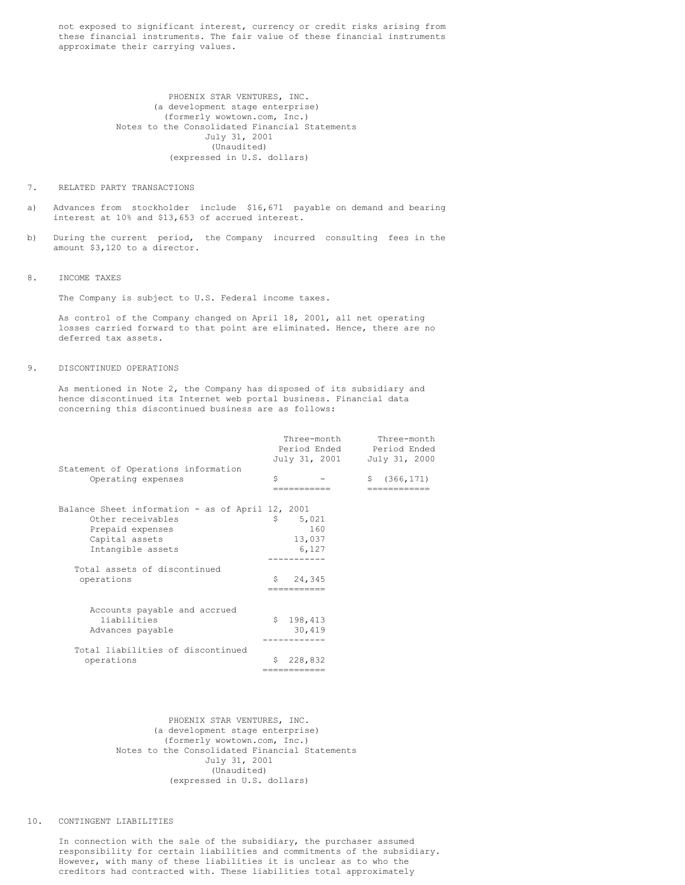not exposed to significant interest, currency or credit risks arising from these financial instruments. The fair value of these financial instruments approximate their carrying values.

> PHOENIX STAR VENTURES, INC. (a development stage enterprise) (formerly wowtown.com, Inc.) Notes to the Consolidated Financial Statements July 31, 2001 (Unaudited) (expressed in U.S. dollars)

#### 7. RELATED PARTY TRANSACTIONS

- a) Advances from stockholder include \$16,671 payable on demand and bearing interest at 10% and \$13,653 of accrued interest.
- b) During the current period, the Company incurred consulting fees in the amount \$3,120 to a director.
- 8. INCOME TAXES

The Company is subject to U.S. Federal income taxes.

As control of the Company changed on April 18, 2001, all net operating losses carried forward to that point are eliminated. Hence, there are no deferred tax assets.

### 9. DISCONTINUED OPERATIONS

As mentioned in Note 2, the Company has disposed of its subsidiary and hence discontinued its Internet web portal business. Financial data concerning this discontinued business are as follows:

|                                                                                                                                  |    | Three-month<br>Period Ended<br>July 31, 2001 | Three-month<br>Period Ended<br>July 31, 2000 |
|----------------------------------------------------------------------------------------------------------------------------------|----|----------------------------------------------|----------------------------------------------|
| Statement of Operations information<br>Operating expenses                                                                        | Ŝ  |                                              | (366, 171)<br>Ŝ.                             |
| Balance Sheet information - as of April 12, 2001<br>Other receivables<br>Prepaid expenses<br>Capital assets<br>Intangible assets | \$ | 5,021<br>160<br>13,037<br>6,127              |                                              |
| Total assets of discontinued<br>operations                                                                                       | Ŝ  | 24,345                                       |                                              |
| Accounts payable and accrued<br>liabilities<br>Advances payable                                                                  |    | \$198,413<br>30,419                          |                                              |
| Total liabilities of discontinued<br>operations                                                                                  |    | 228,832<br>-----------                       |                                              |

PHOENIX STAR VENTURES, INC. (a development stage enterprise) (formerly wowtown.com, Inc.) Notes to the Consolidated Financial Statements July 31, 2001 (Unaudited) (expressed in U.S. dollars)

### 10. CONTINGENT LIABILITIES

In connection with the sale of the subsidiary, the purchaser assumed responsibility for certain liabilities and commitments of the subsidiary. However, with many of these liabilities it is unclear as to who the creditors had contracted with. These liabilities total approximately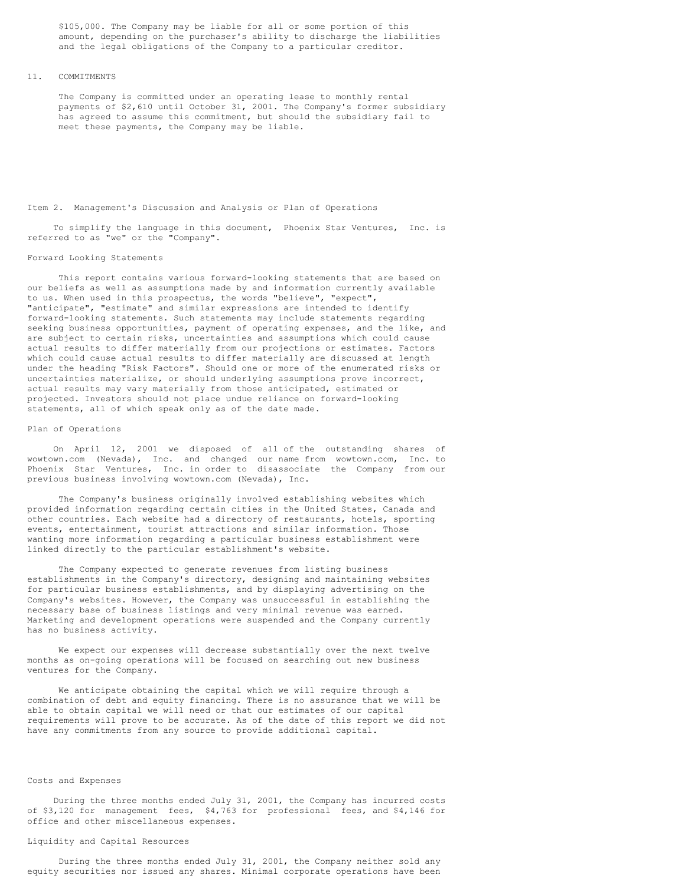\$105,000. The Company may be liable for all or some portion of this amount, depending on the purchaser's ability to discharge the liabilities and the legal obligations of the Company to a particular creditor.

### 11. COMMITMENTS

The Company is committed under an operating lease to monthly rental payments of \$2,610 until October 31, 2001. The Company's former subsidiary has agreed to assume this commitment, but should the subsidiary fail to meet these payments, the Company may be liable.

#### Item 2. Management's Discussion and Analysis or Plan of Operations

To simplify the language in this document, Phoenix Star Ventures, Inc. is referred to as "we" or the "Company".

#### Forward Looking Statements

This report contains various forward-looking statements that are based on our beliefs as well as assumptions made by and information currently available to us. When used in this prospectus, the words "believe", "expect", "anticipate", "estimate" and similar expressions are intended to identify forward-looking statements. Such statements may include statements regarding seeking business opportunities, payment of operating expenses, and the like, and are subject to certain risks, uncertainties and assumptions which could cause actual results to differ materially from our projections or estimates. Factors which could cause actual results to differ materially are discussed at length under the heading "Risk Factors". Should one or more of the enumerated risks or uncertainties materialize, or should underlying assumptions prove incorrect, actual results may vary materially from those anticipated, estimated or projected. Investors should not place undue reliance on forward-looking statements, all of which speak only as of the date made.

## Plan of Operations

On April 12, 2001 we disposed of all of the outstanding shares of wowtown.com (Nevada), Inc. and changed our name from wowtown.com, Inc. to Phoenix Star Ventures, Inc. in order to disassociate the Company from our previous business involving wowtown.com (Nevada), Inc.

The Company's business originally involved establishing websites which provided information regarding certain cities in the United States, Canada and other countries. Each website had a directory of restaurants, hotels, sporting events, entertainment, tourist attractions and similar information. Those wanting more information regarding a particular business establishment were linked directly to the particular establishment's website.

The Company expected to generate revenues from listing business establishments in the Company's directory, designing and maintaining websites for particular business establishments, and by displaying advertising on the Company's websites. However, the Company was unsuccessful in establishing the necessary base of business listings and very minimal revenue was earned. Marketing and development operations were suspended and the Company currently has no business activity.

We expect our expenses will decrease substantially over the next twelve months as on-going operations will be focused on searching out new business ventures for the Company.

We anticipate obtaining the capital which we will require through a combination of debt and equity financing. There is no assurance that we will be able to obtain capital we will need or that our estimates of our capital requirements will prove to be accurate. As of the date of this report we did not have any commitments from any source to provide additional capital.

#### Costs and Expenses

During the three months ended July 31, 2001, the Company has incurred costs of \$3,120 for management fees, \$4,763 for professional fees, and \$4,146 for office and other miscellaneous expenses.

# Liquidity and Capital Resources

During the three months ended July 31, 2001, the Company neither sold any equity securities nor issued any shares. Minimal corporate operations have been